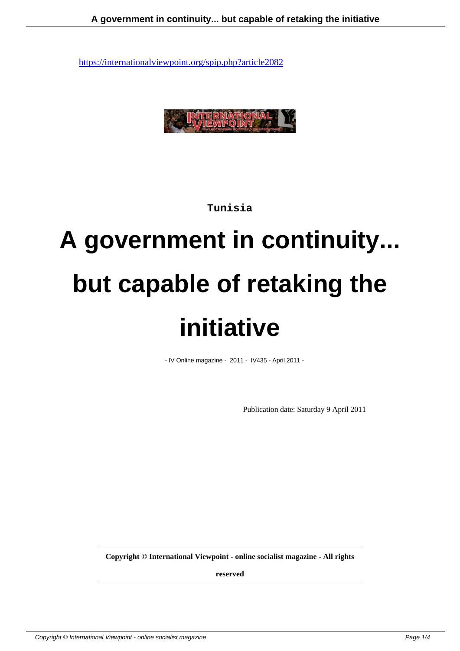

**Tunisia**

# **A government in continuity... but capable of retaking the initiative**

- IV Online magazine - 2011 - IV435 - April 2011 -

Publication date: Saturday 9 April 2011

**Copyright © International Viewpoint - online socialist magazine - All rights**

**reserved**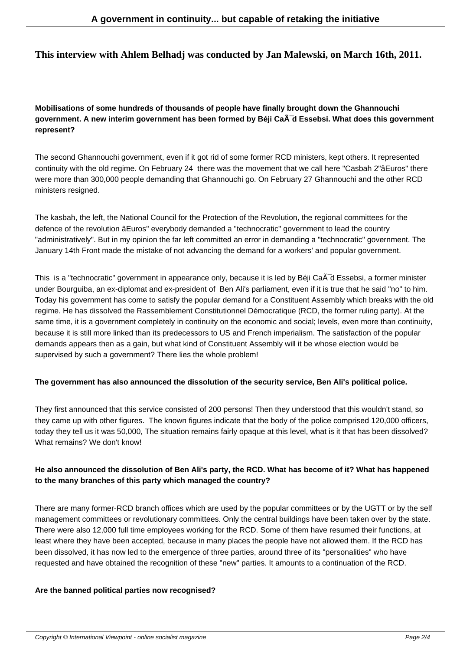# **This interview with Ahlem Belhadj was conducted by Jan Malewski, on March 16th, 2011.**

# **Mobilisations of some hundreds of thousands of people have finally brought down the Ghannouchi** government. A new interim government has been formed by Béji CaÂ<sup>-</sup>d Essebsi. What does this government **represent?**

The second Ghannouchi government, even if it got rid of some former RCD ministers, kept others. It represented continuity with the old regime. On February 24 there was the movement that we call here "Casbah 2"âEuros" there were more than 300,000 people demanding that Ghannouchi go. On February 27 Ghannouchi and the other RCD ministers resigned.

The kasbah, the left, the National Council for the Protection of the Revolution, the regional committees for the defence of the revolution âEuros" everybody demanded a "technocratic" government to lead the country "administratively". But in my opinion the far left committed an error in demanding a "technocratic" government. The January 14th Front made the mistake of not advancing the demand for a workers' and popular government.

This is a "technocratic" government in appearance only, because it is led by Béji CaÂ<sup>-</sup>d Essebsi, a former minister under Bourguiba, an ex-diplomat and ex-president of Ben Ali's parliament, even if it is true that he said "no" to him. Today his government has come to satisfy the popular demand for a Constituent Assembly which breaks with the old regime. He has dissolved the Rassemblement Constitutionnel Démocratique (RCD, the former ruling party). At the same time, it is a government completely in continuity on the economic and social; levels, even more than continuity, because it is still more linked than its predecessors to US and French imperialism. The satisfaction of the popular demands appears then as a gain, but what kind of Constituent Assembly will it be whose election would be supervised by such a government? There lies the whole problem!

#### **The government has also announced the dissolution of the security service, Ben Ali's political police.**

They first announced that this service consisted of 200 persons! Then they understood that this wouldn't stand, so they came up with other figures. The known figures indicate that the body of the police comprised 120,000 officers, today they tell us it was 50,000, The situation remains fairly opaque at this level, what is it that has been dissolved? What remains? We don't know!

# **He also announced the dissolution of Ben Ali's party, the RCD. What has become of it? What has happened to the many branches of this party which managed the country?**

There are many former-RCD branch offices which are used by the popular committees or by the UGTT or by the self management committees or revolutionary committees. Only the central buildings have been taken over by the state. There were also 12,000 full time employees working for the RCD. Some of them have resumed their functions, at least where they have been accepted, because in many places the people have not allowed them. If the RCD has been dissolved, it has now led to the emergence of three parties, around three of its "personalities" who have requested and have obtained the recognition of these "new" parties. It amounts to a continuation of the RCD.

#### **Are the banned political parties now recognised?**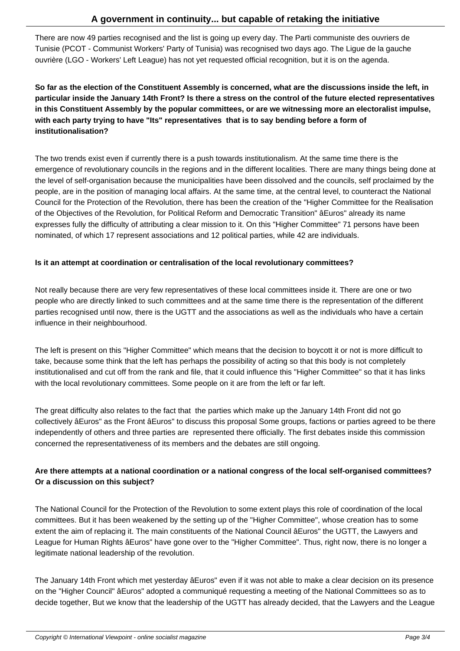There are now 49 parties recognised and the list is going up every day. The Parti communiste des ouvriers de Tunisie (PCOT - Communist Workers' Party of Tunisia) was recognised two days ago. The Ligue de la gauche ouvrière (LGO - Workers' Left League) has not yet requested official recognition, but it is on the agenda.

**So far as the election of the Constituent Assembly is concerned, what are the discussions inside the left, in particular inside the January 14th Front? Is there a stress on the control of the future elected representatives in this Constituent Assembly by the popular committees, or are we witnessing more an electoralist impulse, with each party trying to have "Its" representatives that is to say bending before a form of institutionalisation?**

The two trends exist even if currently there is a push towards institutionalism. At the same time there is the emergence of revolutionary councils in the regions and in the different localities. There are many things being done at the level of self-organisation because the municipalities have been dissolved and the councils, self proclaimed by the people, are in the position of managing local affairs. At the same time, at the central level, to counteract the National Council for the Protection of the Revolution, there has been the creation of the "Higher Committee for the Realisation of the Objectives of the Revolution, for Political Reform and Democratic Transition" âEuros" already its name expresses fully the difficulty of attributing a clear mission to it. On this "Higher Committee" 71 persons have been nominated, of which 17 represent associations and 12 political parties, while 42 are individuals.

#### **Is it an attempt at coordination or centralisation of the local revolutionary committees?**

Not really because there are very few representatives of these local committees inside it. There are one or two people who are directly linked to such committees and at the same time there is the representation of the different parties recognised until now, there is the UGTT and the associations as well as the individuals who have a certain influence in their neighbourhood.

The left is present on this "Higher Committee" which means that the decision to boycott it or not is more difficult to take, because some think that the left has perhaps the possibility of acting so that this body is not completely institutionalised and cut off from the rank and file, that it could influence this "Higher Committee" so that it has links with the local revolutionary committees. Some people on it are from the left or far left.

The great difficulty also relates to the fact that the parties which make up the January 14th Front did not go collectively âEuros" as the Front âEuros" to discuss this proposal Some groups, factions or parties agreed to be there independently of others and three parties are represented there officially. The first debates inside this commission concerned the representativeness of its members and the debates are still ongoing.

# **Are there attempts at a national coordination or a national congress of the local self-organised committees? Or a discussion on this subject?**

The National Council for the Protection of the Revolution to some extent plays this role of coordination of the local committees. But it has been weakened by the setting up of the "Higher Committee", whose creation has to some extent the aim of replacing it. The main constituents of the National Council âEuros" the UGTT, the Lawyers and League for Human Rights âEuros" have gone over to the "Higher Committee". Thus, right now, there is no longer a legitimate national leadership of the revolution.

The January 14th Front which met yesterday âEuros" even if it was not able to make a clear decision on its presence on the "Higher Council" âEuros" adopted a communiqué requesting a meeting of the National Committees so as to decide together, But we know that the leadership of the UGTT has already decided, that the Lawyers and the League